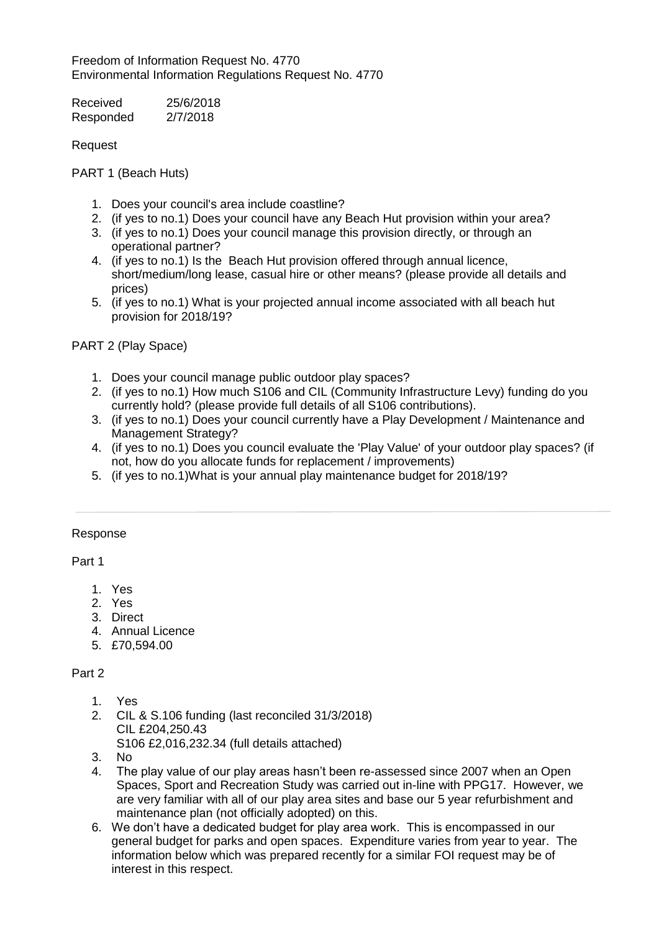Freedom of Information Request No. 4770 Environmental Information Regulations Request No. 4770

| Received  | 25/6/2018 |
|-----------|-----------|
| Responded | 2/7/2018  |

Request

PART 1 (Beach Huts)

- 1. Does your council's area include coastline?
- 2. (if yes to no.1) Does your council have any Beach Hut provision within your area?
- 3. (if yes to no.1) Does your council manage this provision directly, or through an operational partner?
- 4. (if yes to no.1) Is the Beach Hut provision offered through annual licence, short/medium/long lease, casual hire or other means? (please provide all details and prices)
- 5. (if yes to no.1) What is your projected annual income associated with all beach hut provision for 2018/19?

PART 2 (Play Space)

- 1. Does your council manage public outdoor play spaces?
- 2. (if yes to no.1) How much S106 and CIL (Community Infrastructure Levy) funding do you currently hold? (please provide full details of all S106 contributions).
- 3. (if yes to no.1) Does your council currently have a Play Development / Maintenance and Management Strategy?
- 4. (if yes to no.1) Does you council evaluate the 'Play Value' of your outdoor play spaces? (if not, how do you allocate funds for replacement / improvements)
- 5. (if yes to no.1)What is your annual play maintenance budget for 2018/19?

## Response

Part 1

- 1. Yes
- 2. Yes
- 3. Direct
- 4. Annual Licence
- 5. £70,594.00

## Part 2

- 1. Yes
- 2. CIL & S.106 funding (last reconciled 31/3/2018) CIL £204,250.43 S106 £2,016,232.34 (full details attached)
- 3. No
- 4. The play value of our play areas hasn't been re-assessed since 2007 when an Open Spaces, Sport and Recreation Study was carried out in-line with PPG17. However, we are very familiar with all of our play area sites and base our 5 year refurbishment and maintenance plan (not officially adopted) on this.
- 6. We don't have a dedicated budget for play area work. This is encompassed in our general budget for parks and open spaces. Expenditure varies from year to year. The information below which was prepared recently for a similar FOI request may be of interest in this respect.